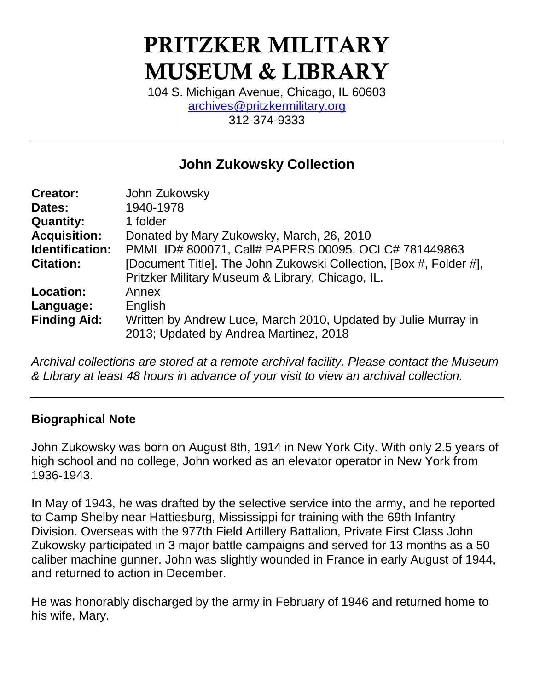# PRITZKER MILITARY MUSEUM & LIBRARY

104 S. Michigan Avenue, Chicago, IL 60603 [archives@pritzkermilitary.org](mailto:archives@pritzkermilitary.org) 312-374-9333

# **John Zukowsky Collection**

| John Zukowsky                                                      |
|--------------------------------------------------------------------|
| 1940-1978                                                          |
| 1 folder                                                           |
| Donated by Mary Zukowsky, March, 26, 2010                          |
| PMML ID# 800071, Call# PAPERS 00095, OCLC# 781449863               |
| [Document Title]. The John Zukowski Collection, [Box #, Folder #], |
| Pritzker Military Museum & Library, Chicago, IL.                   |
| Annex                                                              |
| English                                                            |
| Written by Andrew Luce, March 2010, Updated by Julie Murray in     |
| 2013; Updated by Andrea Martinez, 2018                             |
|                                                                    |

*Archival collections are stored at a remote archival facility. Please contact the Museum & Library at least 48 hours in advance of your visit to view an archival collection.*

#### **Biographical Note**

John Zukowsky was born on August 8th, 1914 in New York City. With only 2.5 years of high school and no college, John worked as an elevator operator in New York from 1936-1943.

In May of 1943, he was drafted by the selective service into the army, and he reported to Camp Shelby near Hattiesburg, Mississippi for training with the 69th Infantry Division. Overseas with the 977th Field Artillery Battalion, Private First Class John Zukowsky participated in 3 major battle campaigns and served for 13 months as a 50 caliber machine gunner. John was slightly wounded in France in early August of 1944, and returned to action in December.

He was honorably discharged by the army in February of 1946 and returned home to his wife, Mary.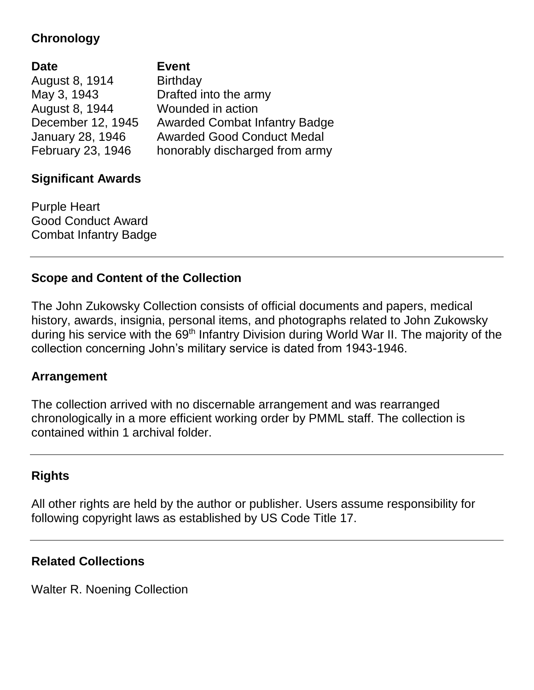## **Chronology**

| <b>Date</b>       | <b>Event</b>                         |
|-------------------|--------------------------------------|
| August 8, 1914    | <b>Birthday</b>                      |
| May 3, 1943       | Drafted into the army                |
| August 8, 1944    | Wounded in action                    |
| December 12, 1945 | <b>Awarded Combat Infantry Badge</b> |
| January 28, 1946  | <b>Awarded Good Conduct Medal</b>    |
| February 23, 1946 | honorably discharged from army       |

#### **Significant Awards**

Purple Heart Good Conduct Award Combat Infantry Badge

#### **Scope and Content of the Collection**

The John Zukowsky Collection consists of official documents and papers, medical history, awards, insignia, personal items, and photographs related to John Zukowsky during his service with the 69<sup>th</sup> Infantry Division during World War II. The majority of the collection concerning John's military service is dated from 1943-1946.

#### **Arrangement**

The collection arrived with no discernable arrangement and was rearranged chronologically in a more efficient working order by PMML staff. The collection is contained within 1 archival folder.

#### **Rights**

All other rights are held by the author or publisher. Users assume responsibility for following copyright laws as established by US Code Title 17.

#### **Related Collections**

Walter R. Noening Collection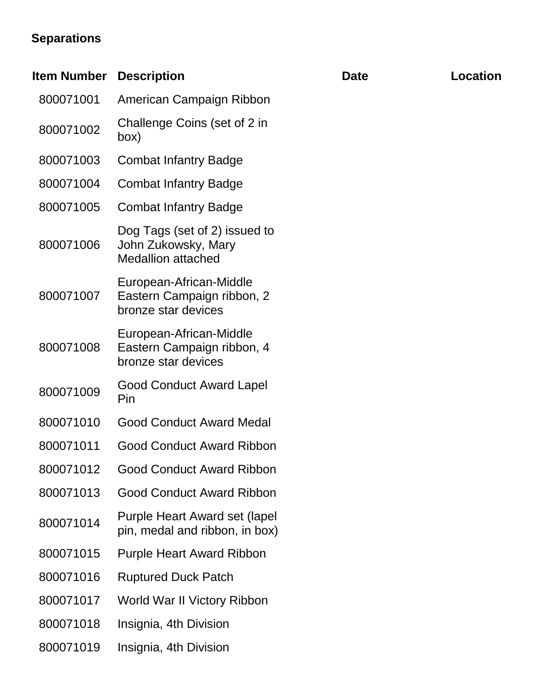# **Separations**

| <b>Item Number</b> | <b>Description</b>                                                                | <b>Date</b> | <b>Location</b> |
|--------------------|-----------------------------------------------------------------------------------|-------------|-----------------|
| 800071001          | American Campaign Ribbon                                                          |             |                 |
| 800071002          | Challenge Coins (set of 2 in<br>(box                                              |             |                 |
| 800071003          | <b>Combat Infantry Badge</b>                                                      |             |                 |
| 800071004          | <b>Combat Infantry Badge</b>                                                      |             |                 |
| 800071005          | <b>Combat Infantry Badge</b>                                                      |             |                 |
| 800071006          | Dog Tags (set of 2) issued to<br>John Zukowsky, Mary<br><b>Medallion attached</b> |             |                 |
| 800071007          | European-African-Middle<br>Eastern Campaign ribbon, 2<br>bronze star devices      |             |                 |
| 800071008          | European-African-Middle<br>Eastern Campaign ribbon, 4<br>bronze star devices      |             |                 |
| 800071009          | <b>Good Conduct Award Lapel</b><br>Pin                                            |             |                 |
| 800071010          | <b>Good Conduct Award Medal</b>                                                   |             |                 |
| 800071011          | <b>Good Conduct Award Ribbon</b>                                                  |             |                 |
| 800071012          | <b>Good Conduct Award Ribbon</b>                                                  |             |                 |
| 800071013          | <b>Good Conduct Award Ribbon</b>                                                  |             |                 |
| 800071014          | Purple Heart Award set (lapel)<br>pin, medal and ribbon, in box)                  |             |                 |
| 800071015          | <b>Purple Heart Award Ribbon</b>                                                  |             |                 |
| 800071016          | <b>Ruptured Duck Patch</b>                                                        |             |                 |
| 800071017          | World War II Victory Ribbon                                                       |             |                 |
| 800071018          | Insignia, 4th Division                                                            |             |                 |
| 800071019          | Insignia, 4th Division                                                            |             |                 |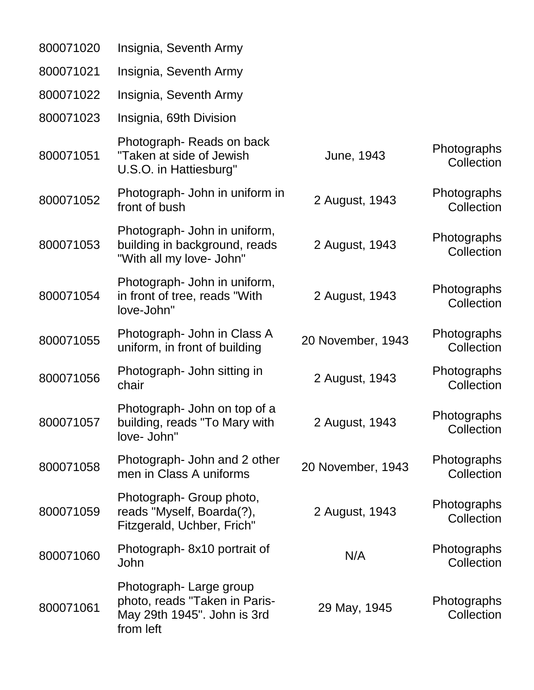| 800071020 | Insignia, Seventh Army                                                                              |                   |                           |
|-----------|-----------------------------------------------------------------------------------------------------|-------------------|---------------------------|
| 800071021 | Insignia, Seventh Army                                                                              |                   |                           |
| 800071022 | Insignia, Seventh Army                                                                              |                   |                           |
| 800071023 | Insignia, 69th Division                                                                             |                   |                           |
| 800071051 | Photograph-Reads on back<br>"Taken at side of Jewish<br>U.S.O. in Hattiesburg"                      | June, 1943        | Photographs<br>Collection |
| 800071052 | Photograph- John in uniform in<br>front of bush                                                     | 2 August, 1943    | Photographs<br>Collection |
| 800071053 | Photograph- John in uniform,<br>building in background, reads<br>"With all my love- John"           | 2 August, 1943    | Photographs<br>Collection |
| 800071054 | Photograph- John in uniform,<br>in front of tree, reads "With<br>love-John"                         | 2 August, 1943    | Photographs<br>Collection |
| 800071055 | Photograph- John in Class A<br>uniform, in front of building                                        | 20 November, 1943 | Photographs<br>Collection |
| 800071056 | Photograph- John sitting in<br>chair                                                                | 2 August, 1943    | Photographs<br>Collection |
| 800071057 | Photograph- John on top of a<br>building, reads "To Mary with<br>love- John"                        | 2 August, 1943    | Photographs<br>Collection |
| 800071058 | Photograph- John and 2 other<br>men in Class A uniforms                                             | 20 November, 1943 | Photographs<br>Collection |
| 800071059 | Photograph- Group photo,<br>reads "Myself, Boarda(?),<br>Fitzgerald, Uchber, Frich"                 | 2 August, 1943    | Photographs<br>Collection |
| 800071060 | Photograph-8x10 portrait of<br>John                                                                 | N/A               | Photographs<br>Collection |
| 800071061 | Photograph-Large group<br>photo, reads "Taken in Paris-<br>May 29th 1945". John is 3rd<br>from left | 29 May, 1945      | Photographs<br>Collection |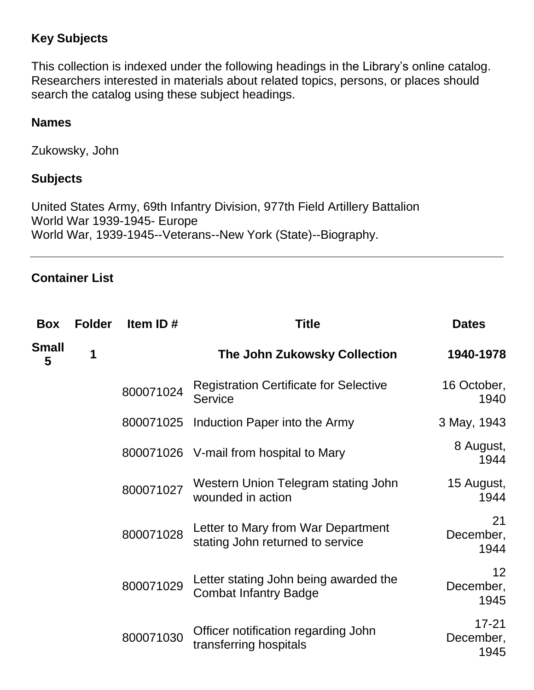### **Key Subjects**

This collection is indexed under the following headings in the Library's online catalog. Researchers interested in materials about related topics, persons, or places should search the catalog using these subject headings.

#### **Names**

Zukowsky, John

#### **Subjects**

United States Army, 69th Infantry Division, 977th Field Artillery Battalion World War 1939-1945- Europe World War, 1939-1945--Veterans--New York (State)--Biography.

#### **Container List**

| Box               | <b>Folder</b> | Item ID#  | <b>Title</b>                                                           | <b>Dates</b>                   |
|-------------------|---------------|-----------|------------------------------------------------------------------------|--------------------------------|
| <b>Small</b><br>5 | 1             |           | The John Zukowsky Collection                                           | 1940-1978                      |
|                   |               | 800071024 | <b>Registration Certificate for Selective</b><br><b>Service</b>        | 16 October,<br>1940            |
|                   |               |           | 800071025 Induction Paper into the Army                                | 3 May, 1943                    |
|                   |               |           | 800071026 V-mail from hospital to Mary                                 | 8 August,<br>1944              |
|                   |               | 800071027 | Western Union Telegram stating John<br>wounded in action               | 15 August,<br>1944             |
|                   |               | 800071028 | Letter to Mary from War Department<br>stating John returned to service | 21<br>December,<br>1944        |
|                   |               | 800071029 | Letter stating John being awarded the<br><b>Combat Infantry Badge</b>  | 12<br>December,<br>1945        |
|                   |               | 800071030 | Officer notification regarding John<br>transferring hospitals          | $17 - 21$<br>December,<br>1945 |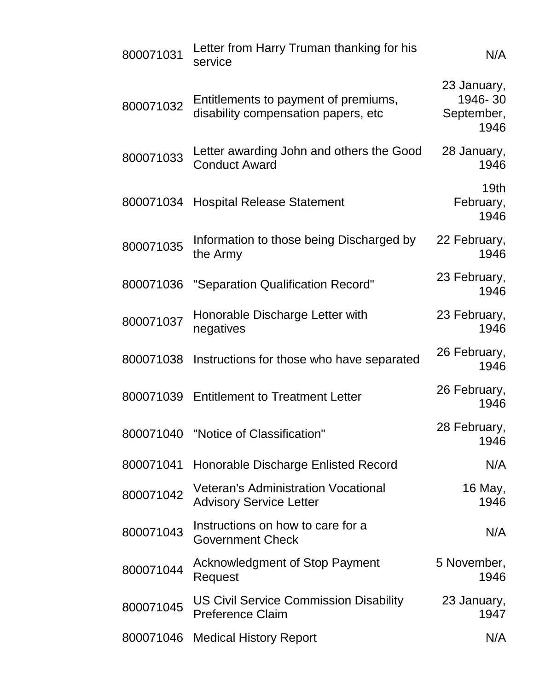| 800071031 | Letter from Harry Truman thanking for his<br>service                         | N/A                                          |
|-----------|------------------------------------------------------------------------------|----------------------------------------------|
| 800071032 | Entitlements to payment of premiums,<br>disability compensation papers, etc  | 23 January,<br>1946-30<br>September,<br>1946 |
| 800071033 | Letter awarding John and others the Good<br><b>Conduct Award</b>             | 28 January,<br>1946                          |
|           | 800071034 Hospital Release Statement                                         | 19 <sub>th</sub><br>February,<br>1946        |
| 800071035 | Information to those being Discharged by<br>the Army                         | 22 February,<br>1946                         |
| 800071036 | "Separation Qualification Record"                                            | 23 February,<br>1946                         |
| 800071037 | Honorable Discharge Letter with<br>negatives                                 | 23 February,<br>1946                         |
| 800071038 | Instructions for those who have separated                                    | 26 February,<br>1946                         |
|           | 800071039 Entitlement to Treatment Letter                                    | 26 February,<br>1946                         |
|           | 800071040 "Notice of Classification"                                         | 28 February,<br>1946                         |
| 800071041 | Honorable Discharge Enlisted Record                                          | N/A                                          |
| 800071042 | <b>Veteran's Administration Vocational</b><br><b>Advisory Service Letter</b> | 16 May,<br>1946                              |
| 800071043 | Instructions on how to care for a<br><b>Government Check</b>                 | N/A                                          |
| 800071044 | <b>Acknowledgment of Stop Payment</b><br>Request                             | 5 November,<br>1946                          |
| 800071045 | US Civil Service Commission Disability<br><b>Preference Claim</b>            | 23 January,<br>1947                          |
|           | 800071046 Medical History Report                                             | N/A                                          |